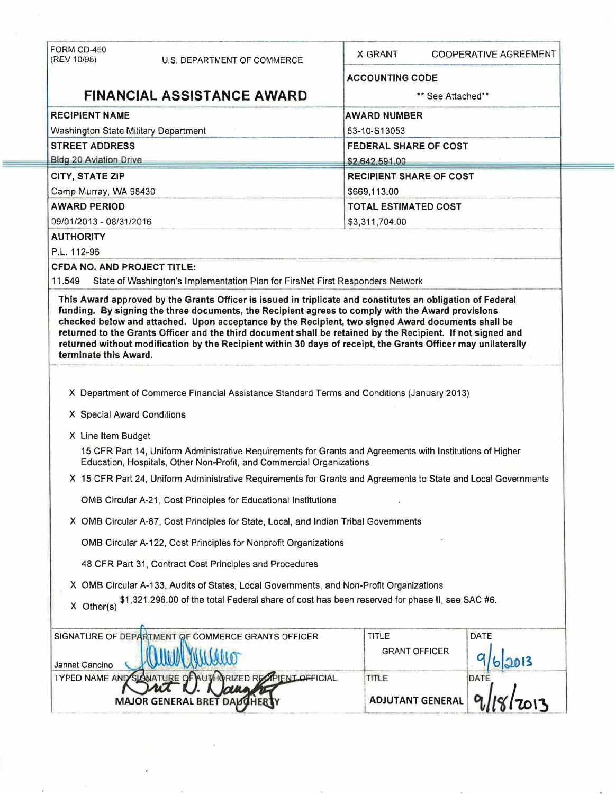| FORM CD-450<br>(REV 10/98)                                                                                     | U.S. DEPARTMENT OF COMMERCE                                                                                                                                                                                                                                                                                                       | X GRANT                        | <b>COOPERATIVE AGREEMENT</b> |  |  |  |
|----------------------------------------------------------------------------------------------------------------|-----------------------------------------------------------------------------------------------------------------------------------------------------------------------------------------------------------------------------------------------------------------------------------------------------------------------------------|--------------------------------|------------------------------|--|--|--|
|                                                                                                                |                                                                                                                                                                                                                                                                                                                                   |                                | <b>ACCOUNTING CODE</b>       |  |  |  |
| <b>FINANCIAL ASSISTANCE AWARD</b>                                                                              |                                                                                                                                                                                                                                                                                                                                   |                                | ** See Attached**            |  |  |  |
| <b>RECIPIENT NAME</b>                                                                                          |                                                                                                                                                                                                                                                                                                                                   |                                | <b>AWARD NUMBER</b>          |  |  |  |
| Washington State Military Department                                                                           |                                                                                                                                                                                                                                                                                                                                   | 53-10-S13053                   |                              |  |  |  |
| <b>STREET ADDRESS</b>                                                                                          |                                                                                                                                                                                                                                                                                                                                   |                                | <b>FEDERAL SHARE OF COST</b> |  |  |  |
| <b>Bldg 20 Aviation Drive</b>                                                                                  |                                                                                                                                                                                                                                                                                                                                   | \$2,642,591.00                 |                              |  |  |  |
| CITY, STATE ZIP                                                                                                |                                                                                                                                                                                                                                                                                                                                   | <b>RECIPIENT SHARE OF COST</b> |                              |  |  |  |
| Camp Murray, WA 98430                                                                                          |                                                                                                                                                                                                                                                                                                                                   | \$669,113.00                   |                              |  |  |  |
| <b>AWARD PERIOD</b>                                                                                            |                                                                                                                                                                                                                                                                                                                                   |                                | <b>TOTAL ESTIMATED COST</b>  |  |  |  |
| 09/01/2013 - 08/31/2016                                                                                        |                                                                                                                                                                                                                                                                                                                                   | \$3,311,704.00                 |                              |  |  |  |
| <b>AUTHORITY</b>                                                                                               |                                                                                                                                                                                                                                                                                                                                   |                                |                              |  |  |  |
| P.L. 112-96                                                                                                    |                                                                                                                                                                                                                                                                                                                                   |                                |                              |  |  |  |
| CFDA NO. AND PROJECT TITLE:                                                                                    |                                                                                                                                                                                                                                                                                                                                   |                                |                              |  |  |  |
| 11.549                                                                                                         | State of Washington's Implementation Plan for FirsNet First Responders Network                                                                                                                                                                                                                                                    |                                |                              |  |  |  |
| terminate this Award.                                                                                          | checked below and attached. Upon acceptance by the Recipient, two signed Award documents shall be<br>returned to the Grants Officer and the third document shall be retained by the Recipient. If not signed and<br>returned without modification by the Recipient within 30 days of receipt, the Grants Officer may unilaterally |                                |                              |  |  |  |
|                                                                                                                | X Department of Commerce Financial Assistance Standard Terms and Conditions (January 2013)                                                                                                                                                                                                                                        |                                |                              |  |  |  |
|                                                                                                                |                                                                                                                                                                                                                                                                                                                                   |                                |                              |  |  |  |
| X Special Award Conditions                                                                                     |                                                                                                                                                                                                                                                                                                                                   |                                |                              |  |  |  |
|                                                                                                                | X Line Item Budget                                                                                                                                                                                                                                                                                                                |                                |                              |  |  |  |
|                                                                                                                | 15 CFR Part 14, Uniform Administrative Requirements for Grants and Agreements with Institutions of Higher<br>Education, Hospitals, Other Non-Profit, and Commercial Organizations                                                                                                                                                 |                                |                              |  |  |  |
| X 15 CFR Part 24, Uniform Administrative Requirements for Grants and Agreements to State and Local Governments |                                                                                                                                                                                                                                                                                                                                   |                                |                              |  |  |  |
|                                                                                                                | OMB Circular A-21, Cost Principles for Educational Institutions                                                                                                                                                                                                                                                                   |                                |                              |  |  |  |
|                                                                                                                | X OMB Circular A-87, Cost Principles for State, Local, and Indian Tribal Governments                                                                                                                                                                                                                                              |                                |                              |  |  |  |
| OMB Circular A-122, Cost Principles for Nonprofit Organizations                                                |                                                                                                                                                                                                                                                                                                                                   |                                |                              |  |  |  |
|                                                                                                                | 48 CFR Part 31, Contract Cost Principles and Procedures                                                                                                                                                                                                                                                                           |                                |                              |  |  |  |
|                                                                                                                | X OMB Circular A-133, Audits of States, Local Governments, and Non-Profit Organizations                                                                                                                                                                                                                                           |                                |                              |  |  |  |
| $X$ Other(s)                                                                                                   | \$1,321,296.00 of the total Federal share of cost has been reserved for phase II, see SAC #6.                                                                                                                                                                                                                                     |                                |                              |  |  |  |
|                                                                                                                | SIGNATURE OF DEPARTMENT OF COMMERCE GRANTS OFFICER                                                                                                                                                                                                                                                                                | <b>TITLE</b>                   | DATE                         |  |  |  |
| Jannet Cancino                                                                                                 |                                                                                                                                                                                                                                                                                                                                   | <b>GRANT OFFICER</b>           |                              |  |  |  |
| <b>TYPED NAME AND SLONATURE</b>                                                                                | <b>ZED REAPIENT OFFICIAL</b>                                                                                                                                                                                                                                                                                                      | TITLE                          | DATE                         |  |  |  |
|                                                                                                                | <b>MAJOR GENERAL</b>                                                                                                                                                                                                                                                                                                              | <b>ADJUTANT GENERAL</b>        |                              |  |  |  |

 $\epsilon$ 

**STATE**